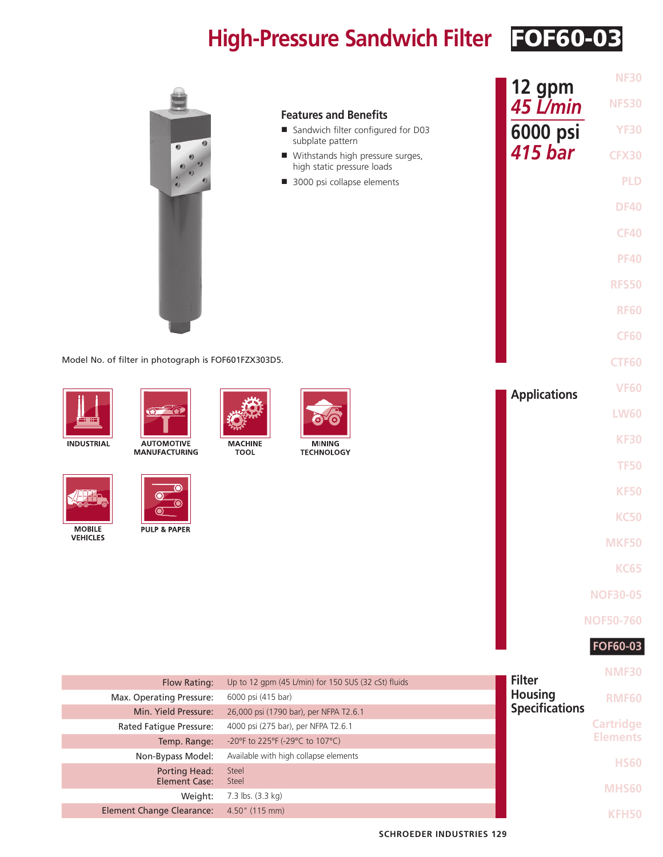## **High-Pressure Sandwich Filter** FOF60-03

|                                                                |                                                                     |                                 | <b>NF30</b>      |
|----------------------------------------------------------------|---------------------------------------------------------------------|---------------------------------|------------------|
|                                                                | <b>Features and Benefits</b>                                        | 12 gpm<br>45 L/min              | <b>NFS30</b>     |
|                                                                | Sandwich filter configured for D03                                  | 6000 psi                        | <b>YF30</b>      |
|                                                                | subplate pattern<br>■ Withstands high pressure surges,              | <b>415 bar</b>                  | <b>CFX30</b>     |
|                                                                | high static pressure loads<br>3000 psi collapse elements            |                                 | <b>PLD</b>       |
|                                                                |                                                                     |                                 | <b>DF40</b>      |
|                                                                |                                                                     |                                 |                  |
|                                                                |                                                                     |                                 | <b>CF40</b>      |
|                                                                |                                                                     |                                 | <b>PF40</b>      |
|                                                                |                                                                     |                                 | <b>RFS50</b>     |
|                                                                |                                                                     |                                 | <b>RF60</b>      |
|                                                                |                                                                     |                                 |                  |
|                                                                |                                                                     |                                 | <b>CF60</b>      |
| Model No. of filter in photograph is FOF601FZX303D5.           |                                                                     |                                 | <b>CTF60</b>     |
|                                                                |                                                                     | <b>Applications</b>             | <b>VF60</b>      |
| $\circ$ $\circ$                                                |                                                                     |                                 | <b>LW60</b>      |
|                                                                |                                                                     |                                 | <b>KF30</b>      |
| <b>INDUSTRIAL</b><br><b>AUTOMOTIVE</b><br><b>MANUFACTURING</b> | <b>MACHINE</b><br><b>MINING</b><br><b>TOOL</b><br><b>TECHNOLOGY</b> |                                 |                  |
|                                                                |                                                                     |                                 | <b>TF50</b>      |
|                                                                |                                                                     |                                 | <b>KF50</b>      |
|                                                                |                                                                     |                                 | <b>KC50</b>      |
| <b>MOBILE</b><br><b>PULP &amp; PAPER</b><br><b>VEHICLES</b>    |                                                                     |                                 | <b>MKF50</b>     |
|                                                                |                                                                     |                                 |                  |
|                                                                |                                                                     |                                 | <b>KC65</b>      |
|                                                                |                                                                     |                                 | <b>NOF30-05</b>  |
|                                                                |                                                                     |                                 | <b>NOF50-760</b> |
|                                                                |                                                                     |                                 | FOF60-03         |
|                                                                |                                                                     |                                 | <b>NMF30</b>     |
| Flow Rating:                                                   | Up to 12 gpm (45 L/min) for 150 SUS (32 cSt) fluids                 | <b>Filter</b><br><b>Housing</b> |                  |
| Max. Operating Pressure:<br>Min. Yield Pressure:               | 6000 psi (415 bar)<br>26,000 psi (1790 bar), per NFPA T2.6.1        | <b>Specifications</b>           | <b>RMF60</b>     |
| Rated Fatigue Pressure:                                        | 4000 psi (275 bar), per NFPA T2.6.1                                 |                                 | <b>Cartridge</b> |
| Temp. Range:                                                   | -20°F to 225°F (-29°C to 107°C)                                     |                                 | <b>Elements</b>  |
| Non-Bypass Model:                                              | Available with high collapse elements                               |                                 | <b>HS60</b>      |
| <b>Porting Head:</b><br><b>Element Case:</b>                   | Steel<br>Steel                                                      |                                 |                  |
| Weight:                                                        | 7.3 lbs. (3.3 kg)                                                   |                                 | <b>MHS60</b>     |
| <b>Element Change Clearance:</b>                               | 4.50" (115 mm)                                                      |                                 | <b>KFH50</b>     |
|                                                                | <b>SCHROEDER INDUSTRIES 129</b>                                     |                                 |                  |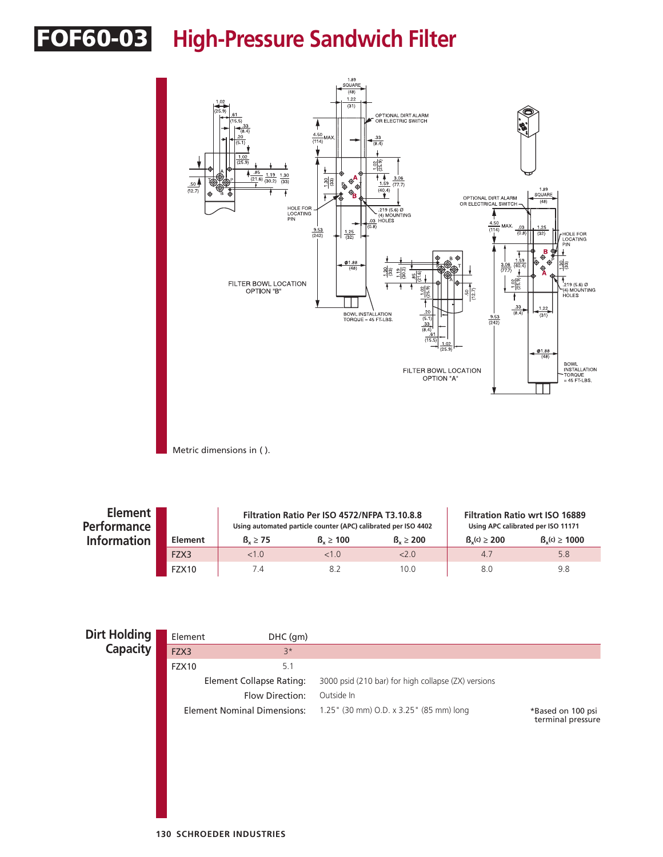## FOF60-03 **High-Pressure Sandwich Filter**



Metric dimensions in ( ).

| Element I<br><b>Performance</b> |         |                     | Filtration Ratio Per ISO 4572/NFPA T3.10.8.8<br>Using automated particle counter (APC) calibrated per ISO 4402 | <b>Filtration Ratio wrt ISO 16889</b><br>Using APC calibrated per ISO 11171 |                  |                   |
|---------------------------------|---------|---------------------|----------------------------------------------------------------------------------------------------------------|-----------------------------------------------------------------------------|------------------|-------------------|
| <b>Information</b>              | Element | $\beta_{u} \geq 75$ | $B_{u} \ge 100$                                                                                                | $B_v \ge 200$                                                               | $B_v(c) \ge 200$ | $B_v(c) \ge 1000$ |
|                                 | FZX3    | <1.0                | <1.0                                                                                                           | 2.0                                                                         | 47               | 5.8               |
|                                 | FZX10   | 74                  | 8.2                                                                                                            | 10.0                                                                        | 8.0              | 9.8               |

| <b>Dirt Holding</b> | Element | DHC (gm)                           |                                                     |                                        |
|---------------------|---------|------------------------------------|-----------------------------------------------------|----------------------------------------|
| <b>Capacity</b>     | FZX3    | $3*$                               |                                                     |                                        |
|                     | FZX10   | 5.1                                |                                                     |                                        |
|                     |         | <b>Element Collapse Rating:</b>    | 3000 psid (210 bar) for high collapse (ZX) versions |                                        |
|                     |         | Flow Direction:                    | Outside In                                          |                                        |
|                     |         | <b>Element Nominal Dimensions:</b> | 1.25" (30 mm) O.D. x 3.25" (85 mm) long             | *Based on 100 psi<br>terminal pressure |
|                     |         |                                    |                                                     |                                        |
|                     |         |                                    |                                                     |                                        |
|                     |         |                                    |                                                     |                                        |
|                     |         |                                    |                                                     |                                        |
|                     |         |                                    |                                                     |                                        |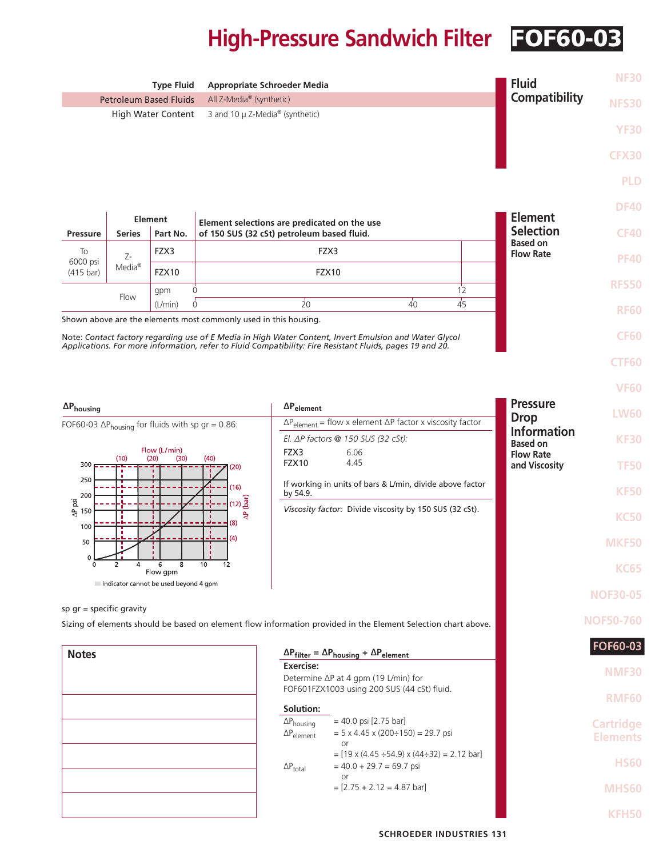## **High-Pressure Sandwich Filter** FOF60-03

|                                                                    |                           | <b>Type Fluid</b>                                 | <b>Appropriate Schroeder Media</b>                                           |                                                     |                                                                                                               |                | <b>Fluid</b>                        | <b>NF30</b>                         |
|--------------------------------------------------------------------|---------------------------|---------------------------------------------------|------------------------------------------------------------------------------|-----------------------------------------------------|---------------------------------------------------------------------------------------------------------------|----------------|-------------------------------------|-------------------------------------|
| <b>Petroleum Based Fluids</b>                                      |                           |                                                   | All Z-Media® (synthetic)                                                     |                                                     |                                                                                                               |                | <b>Compatibility</b>                | <b>NFS30</b>                        |
| High Water Content                                                 |                           |                                                   | 3 and 10 $\mu$ Z-Media <sup>®</sup> (synthetic)                              |                                                     |                                                                                                               |                |                                     | <b>YF30</b>                         |
|                                                                    |                           |                                                   |                                                                              |                                                     |                                                                                                               |                |                                     | <b>CFX30</b>                        |
|                                                                    |                           |                                                   |                                                                              |                                                     |                                                                                                               |                |                                     | <b>PLD</b>                          |
|                                                                    |                           |                                                   |                                                                              |                                                     |                                                                                                               |                |                                     |                                     |
|                                                                    |                           | <b>Element</b>                                    | Element selections are predicated on the use                                 |                                                     |                                                                                                               |                | <b>Element</b>                      | <b>DF40</b>                         |
| <b>Pressure</b><br>To                                              | <b>Series</b>             | Part No.<br>FZX3                                  | of 150 SUS (32 cSt) petroleum based fluid.                                   | FZX3                                                |                                                                                                               |                | <b>Selection</b><br><b>Based on</b> | <b>CF40</b>                         |
| 6000 psi<br>$(415 \text{ bar})$                                    | Z-<br>$Media^{\circledR}$ | FZX10                                             |                                                                              | FZX10                                               |                                                                                                               |                | <b>Flow Rate</b>                    | <b>PF40</b>                         |
|                                                                    | Flow                      | gpm                                               | 0                                                                            |                                                     |                                                                                                               | 12             |                                     | <b>RFS50</b>                        |
|                                                                    |                           | (L/min)                                           | $\Omega$<br>Shown above are the elements most commonly used in this housing. | 20                                                  | $\overline{40}$                                                                                               | $\frac{1}{45}$ |                                     | <b>RF60</b>                         |
|                                                                    |                           |                                                   |                                                                              |                                                     | Note: Contact factory regarding use of E Media in High Water Content, Invert Emulsion and Water Glycol        |                |                                     | <b>CF60</b>                         |
|                                                                    |                           |                                                   |                                                                              |                                                     | Applications. For more information, refer to Fluid Compatibility: Fire Resistant Fluids, pages 19 and 20.     |                |                                     | <b>CTF60</b>                        |
|                                                                    |                           |                                                   |                                                                              |                                                     |                                                                                                               |                |                                     | <b>VF60</b>                         |
| $\Delta \mathsf{P}_{\mathsf{housing}}$                             |                           |                                                   |                                                                              | $\Delta P_{element}$                                |                                                                                                               |                | <b>Pressure</b>                     | <b>LW60</b>                         |
| FOF60-03 $\Delta P_{\text{housing}}$ for fluids with sp gr = 0.86: |                           |                                                   | $\Delta P_{element}$ = flow x element $\Delta P$ factor x viscosity factor   |                                                     | <b>Drop</b><br><b>Information</b>                                                                             |                |                                     |                                     |
|                                                                    |                           | Flow (L/min)                                      |                                                                              | FZX3                                                | El. $\Delta P$ factors @ 150 SUS (32 cSt):<br>6.06                                                            |                | <b>Based on</b><br><b>Flow Rate</b> | <b>KF30</b>                         |
| 300                                                                | (10)                      | (20)<br>(30)                                      | (40)<br>(20)                                                                 | FZX10                                               | 4.45                                                                                                          |                | and Viscosity                       | <b>TF50</b>                         |
| 250<br>200                                                         |                           |                                                   | (16)                                                                         | by 54.9.                                            | If working in units of bars & L/min, divide above factor                                                      |                |                                     | <b>KF50</b>                         |
| ΪŠΙ<br>$\frac{1}{5}$ 150                                           |                           |                                                   | $(12)$ $\frac{2}{9}$<br>₿                                                    |                                                     | Viscosity factor: Divide viscosity by 150 SUS (32 cSt).                                                       |                |                                     | <b>KC50</b>                         |
| 100<br>50                                                          |                           |                                                   | (8)<br>(4)                                                                   |                                                     |                                                                                                               |                |                                     | MKF50                               |
| 0<br>0                                                             | 2<br>4                    | 8<br>6                                            | 10<br>12                                                                     |                                                     |                                                                                                               |                |                                     |                                     |
|                                                                    |                           | Flow gpm<br>Indicator cannot be used beyond 4 gpm |                                                                              |                                                     |                                                                                                               |                |                                     | <b>KC65</b>                         |
| sp $qr = specific$ gravity                                         |                           |                                                   |                                                                              |                                                     |                                                                                                               |                |                                     | <b>NOF30-05</b>                     |
|                                                                    |                           |                                                   |                                                                              |                                                     | Sizing of elements should be based on element flow information provided in the Element Selection chart above. |                |                                     | <b>NOF50-760</b>                    |
| <b>Notes</b>                                                       |                           |                                                   |                                                                              |                                                     | $\Delta P_{filter} = \Delta P_{housing} + \Delta P_{element}$                                                 |                |                                     | <b>FOF60-03</b>                     |
|                                                                    |                           |                                                   |                                                                              | Exercise:                                           |                                                                                                               |                |                                     | <b>NMF30</b>                        |
|                                                                    |                           |                                                   |                                                                              |                                                     | Determine ∆P at 4 gpm (19 L/min) for<br>FOF601FZX1003 using 200 SUS (44 cSt) fluid.                           |                |                                     | <b>RMF60</b>                        |
|                                                                    |                           |                                                   |                                                                              | Solution:                                           |                                                                                                               |                |                                     |                                     |
|                                                                    |                           |                                                   |                                                                              | $\Delta P_{\text{housing}}$<br>$\Delta P_{element}$ | $= 40.0$ psi [2.75 bar]<br>$= 5 \times 4.45 \times (200 \div 150) = 29.7$ psi<br>or                           |                |                                     | <b>Cartridge</b><br><b>Elements</b> |
|                                                                    |                           |                                                   |                                                                              | $\Delta P_{total}$                                  | $=$ [19 x (4.45 ÷54.9) x (44÷32) = 2.12 bar]<br>$= 40.0 + 29.7 = 69.7$ psi                                    |                |                                     | <b>HS60</b>                         |
|                                                                    |                           |                                                   |                                                                              |                                                     | or<br>$=[2.75 + 2.12 = 4.87$ bar]                                                                             |                |                                     | <b>MHS60</b>                        |
|                                                                    |                           |                                                   |                                                                              |                                                     |                                                                                                               |                |                                     | KFH50                               |